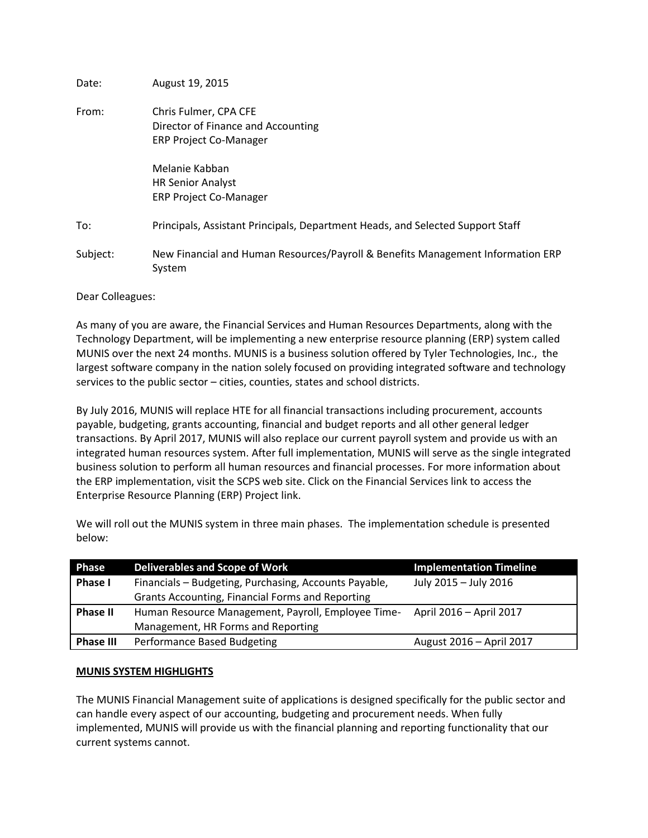| Date:    | August 19, 2015                                                                              |
|----------|----------------------------------------------------------------------------------------------|
| From:    | Chris Fulmer, CPA CFE<br>Director of Finance and Accounting<br><b>ERP Project Co-Manager</b> |
|          | Melanie Kabban<br><b>HR Senior Analyst</b><br><b>ERP Project Co-Manager</b>                  |
| To:      | Principals, Assistant Principals, Department Heads, and Selected Support Staff               |
| Subject: | New Financial and Human Resources/Payroll & Benefits Management Information ERP<br>System    |

Dear Colleagues:

As many of you are aware, the Financial Services and Human Resources Departments, along with the Technology Department, will be implementing a new enterprise resource planning (ERP) system called MUNIS over the next 24 months. MUNIS is a business solution offered by Tyler Technologies, Inc., the largest software company in the nation solely focused on providing integrated software and technology services to the public sector – cities, counties, states and school districts.

By July 2016, MUNIS will replace HTE for all financial transactions including procurement, accounts payable, budgeting, grants accounting, financial and budget reports and all other general ledger transactions. By April 2017, MUNIS will also replace our current payroll system and provide us with an integrated human resources system. After full implementation, MUNIS will serve as the single integrated business solution to perform all human resources and financial processes. For more information about the ERP implementation, visit the SCPS web site. Click on the Financial Services link to access the Enterprise Resource Planning (ERP) Project link.

We will roll out the MUNIS system in three main phases. The implementation schedule is presented below:

| Phase            | Deliverables and Scope of Work                        | <b>Implementation Timeline</b> |
|------------------|-------------------------------------------------------|--------------------------------|
| Phase I          | Financials - Budgeting, Purchasing, Accounts Payable, | July 2015 - July 2016          |
|                  | Grants Accounting, Financial Forms and Reporting      |                                |
| <b>Phase II</b>  | Human Resource Management, Payroll, Employee Time-    | April 2016 - April 2017        |
|                  | Management, HR Forms and Reporting                    |                                |
| <b>Phase III</b> | Performance Based Budgeting                           | August 2016 - April 2017       |

## **MUNIS SYSTEM HIGHLIGHTS**

The MUNIS Financial Management suite of applications is designed specifically for the public sector and can handle every aspect of our accounting, budgeting and procurement needs. When fully implemented, MUNIS will provide us with the financial planning and reporting functionality that our current systems cannot.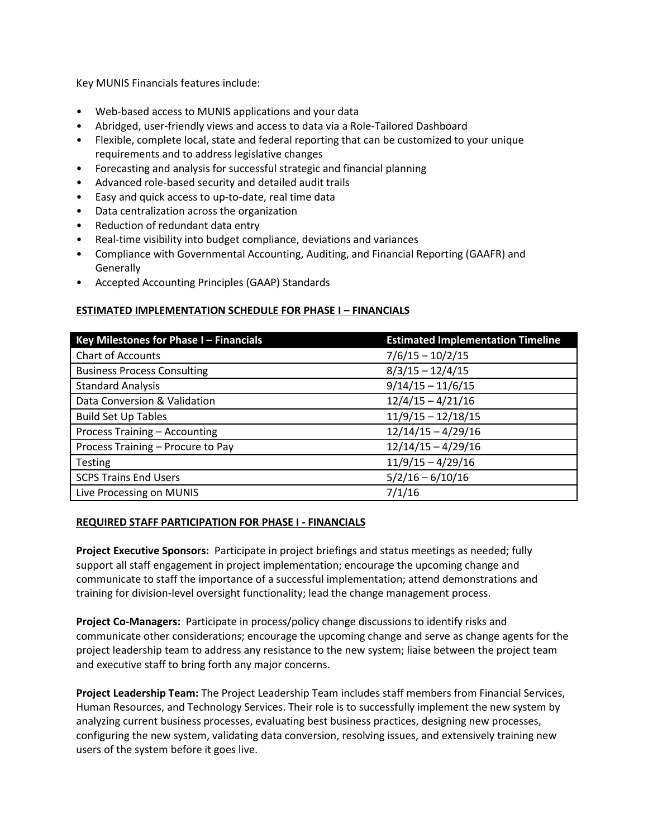Key MUNIS Financials features include:

- Web-based access to MUNIS applications and your data
- Abridged, user-friendly views and access to data via a Role-Tailored Dashboard
- Flexible, complete local, state and federal reporting that can be customized to your unique requirements and to address legislative changes
- Forecasting and analysis for successful strategic and financial planning
- Advanced role-based security and detailed audit trails
- Easy and quick access to up-to-date, real time data
- Data centralization across the organization
- Reduction of redundant data entry
- Real-time visibility into budget compliance, deviations and variances
- Compliance with Governmental Accounting, Auditing, and Financial Reporting (GAAFR) and **Generally**
- Accepted Accounting Principles (GAAP) Standards

## **ESTIMATED IMPLEMENTATION SCHEDULE FOR PHASE I – FINANCIALS**

| Key Milestones for Phase I - Financials | <b>Estimated Implementation Timeline</b> |  |
|-----------------------------------------|------------------------------------------|--|
| <b>Chart of Accounts</b>                | $7/6/15 - 10/2/15$                       |  |
| <b>Business Process Consulting</b>      | $8/3/15 - 12/4/15$                       |  |
| <b>Standard Analysis</b>                | $9/14/15 - 11/6/15$                      |  |
| Data Conversion & Validation            | $12/4/15 - 4/21/16$                      |  |
| <b>Build Set Up Tables</b>              | $11/9/15 - 12/18/15$                     |  |
| Process Training - Accounting           | $12/14/15 - 4/29/16$                     |  |
| Process Training - Procure to Pay       | $12/14/15 - 4/29/16$                     |  |
| <b>Testing</b>                          | $11/9/15 - 4/29/16$                      |  |
| <b>SCPS Trains End Users</b>            | $5/2/16 - 6/10/16$                       |  |
| Live Processing on MUNIS                | 7/1/16                                   |  |

## **REQUIRED STAFF PARTICIPATION FOR PHASE I - FINANCIALS**

**Project Executive Sponsors:** Participate in project briefings and status meetings as needed; fully support all staff engagement in project implementation; encourage the upcoming change and communicate to staff the importance of a successful implementation; attend demonstrations and training for division-level oversight functionality; lead the change management process.

**Project Co-Managers:** Participate in process/policy change discussions to identify risks and communicate other considerations; encourage the upcoming change and serve as change agents for the project leadership team to address any resistance to the new system; liaise between the project team and executive staff to bring forth any major concerns.

**Project Leadership Team:** The Project Leadership Team includes staff members from Financial Services, Human Resources, and Technology Services. Their role is to successfully implement the new system by analyzing current business processes, evaluating best business practices, designing new processes, configuring the new system, validating data conversion, resolving issues, and extensively training new users of the system before it goes live.